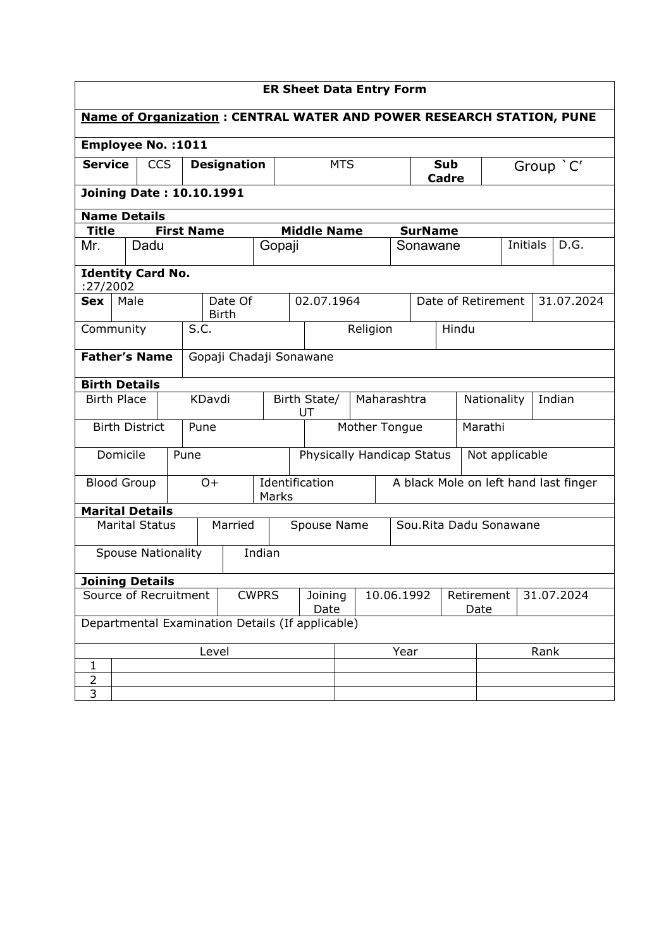| <b>ER Sheet Data Entry Form</b>                                       |                        |                       |                    |                         |                         |             |                    |                            |                        |                            |                                       |      |           |                |             |                |                    |  |            |
|-----------------------------------------------------------------------|------------------------|-----------------------|--------------------|-------------------------|-------------------------|-------------|--------------------|----------------------------|------------------------|----------------------------|---------------------------------------|------|-----------|----------------|-------------|----------------|--------------------|--|------------|
| Name of Organization : CENTRAL WATER AND POWER RESEARCH STATION, PUNE |                        |                       |                    |                         |                         |             |                    |                            |                        |                            |                                       |      |           |                |             |                |                    |  |            |
| <b>Employee No.: 1011</b>                                             |                        |                       |                    |                         |                         |             |                    |                            |                        |                            |                                       |      |           |                |             |                |                    |  |            |
| <b>Service</b><br><b>CCS</b>                                          |                        |                       | <b>Designation</b> |                         |                         |             | <b>MTS</b>         |                            |                        | <b>Sub</b><br><b>Cadre</b> |                                       |      | Group 'C' |                |             |                |                    |  |            |
| <b>Joining Date: 10.10.1991</b>                                       |                        |                       |                    |                         |                         |             |                    |                            |                        |                            |                                       |      |           |                |             |                |                    |  |            |
| <b>Name Details</b>                                                   |                        |                       |                    |                         |                         |             |                    |                            |                        |                            |                                       |      |           |                |             |                |                    |  |            |
| <b>Title</b>                                                          |                        |                       | <b>First Name</b>  |                         |                         |             |                    |                            | <b>Middle Name</b>     |                            |                                       |      |           | <b>SurName</b> |             |                |                    |  |            |
| Mr.                                                                   |                        | Dadu                  |                    |                         |                         |             | Gopaji             |                            |                        |                            |                                       |      |           | Sonawane       |             |                | <b>Initials</b>    |  | D.G.       |
| <b>Identity Card No.</b><br>:27/2002                                  |                        |                       |                    |                         |                         |             |                    |                            |                        |                            |                                       |      |           |                |             |                |                    |  |            |
| <b>Sex</b>                                                            |                        | Male                  |                    | Date Of<br><b>Birth</b> |                         |             |                    | 02.07.1964                 |                        |                            |                                       |      |           |                |             |                | Date of Retirement |  | 31.07.2024 |
| Community                                                             |                        |                       |                    | S.C.                    |                         |             |                    |                            | Religion               |                            |                                       |      | Hindu     |                |             |                |                    |  |            |
| <b>Father's Name</b>                                                  |                        |                       |                    |                         | Gopaji Chadaji Sonawane |             |                    |                            |                        |                            |                                       |      |           |                |             |                |                    |  |            |
| <b>Birth Details</b>                                                  |                        |                       |                    |                         |                         |             |                    |                            |                        |                            |                                       |      |           |                |             |                |                    |  |            |
| <b>Birth Place</b>                                                    |                        |                       |                    | KDavdi                  |                         |             | Birth State/<br>UT |                            |                        | Maharashtra                |                                       |      |           |                | Nationality |                | Indian             |  |            |
|                                                                       |                        | <b>Birth District</b> |                    | Pune                    |                         |             | Mother Tongue      |                            |                        |                            |                                       |      |           | Marathi        |             |                |                    |  |            |
|                                                                       | Domicile               |                       |                    | Pune                    |                         |             |                    | Physically Handicap Status |                        |                            |                                       |      |           |                |             | Not applicable |                    |  |            |
|                                                                       |                        | <b>Blood Group</b>    |                    | $O+$<br>Marks           |                         |             | Identification     |                            |                        |                            | A black Mole on left hand last finger |      |           |                |             |                |                    |  |            |
| <b>Marital Details</b>                                                |                        |                       |                    |                         |                         |             |                    |                            |                        |                            |                                       |      |           |                |             |                |                    |  |            |
| <b>Marital Status</b>                                                 |                        |                       | Married            |                         |                         | Spouse Name |                    |                            | Sou.Rita Dadu Sonawane |                            |                                       |      |           |                |             |                |                    |  |            |
| <b>Spouse Nationality</b>                                             |                        |                       |                    |                         | Indian                  |             |                    |                            |                        |                            |                                       |      |           |                |             |                |                    |  |            |
|                                                                       | <b>Joining Details</b> |                       |                    |                         |                         |             |                    |                            |                        |                            |                                       |      |           |                |             |                |                    |  |            |
| Source of Recruitment                                                 |                        |                       |                    | <b>CWPRS</b>            |                         |             | Joining<br>Date    |                            |                        |                            | 10.06.1992<br>Retirement<br>Date      |      |           |                |             | 31.07.2024     |                    |  |            |
| Departmental Examination Details (If applicable)                      |                        |                       |                    |                         |                         |             |                    |                            |                        |                            |                                       |      |           |                |             |                |                    |  |            |
|                                                                       |                        |                       |                    |                         | Level                   |             |                    |                            |                        |                            |                                       | Year |           |                |             | Rank           |                    |  |            |
| 1                                                                     |                        |                       |                    |                         |                         |             |                    |                            |                        |                            |                                       |      |           |                |             |                |                    |  |            |
| $\overline{2}$<br>3                                                   |                        |                       |                    |                         |                         |             |                    |                            |                        |                            |                                       |      |           |                |             |                |                    |  |            |
|                                                                       |                        |                       |                    |                         |                         |             |                    |                            |                        |                            |                                       |      |           |                |             |                |                    |  |            |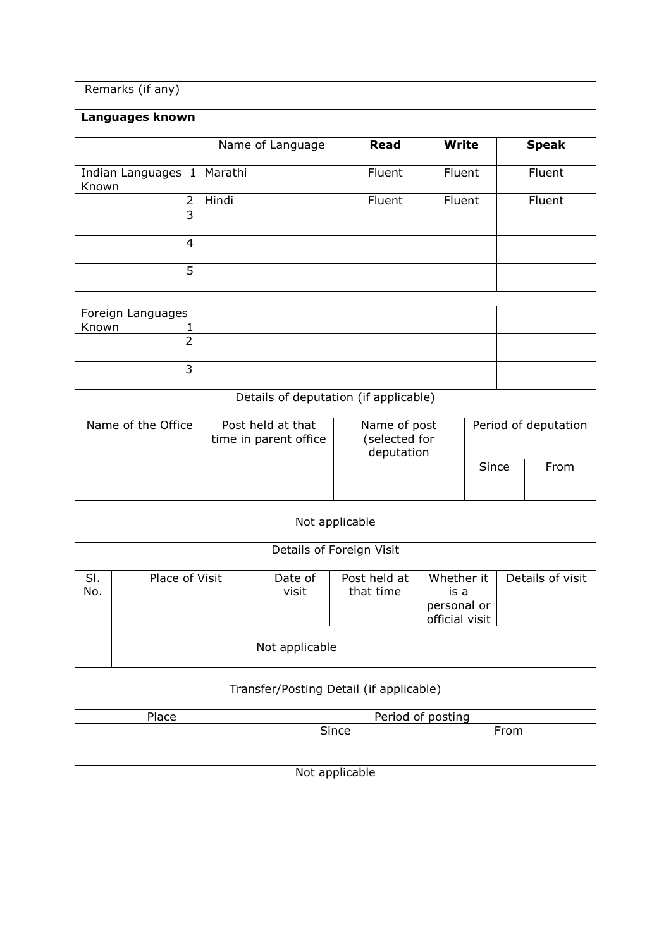| Remarks (if any)                          |                  |             |              |              |  |  |  |  |
|-------------------------------------------|------------------|-------------|--------------|--------------|--|--|--|--|
| Languages known                           |                  |             |              |              |  |  |  |  |
|                                           | Name of Language | <b>Read</b> | <b>Write</b> | <b>Speak</b> |  |  |  |  |
| Indian Languages<br>$\mathbf{1}$<br>Known | Marathi          | Fluent      | Fluent       | Fluent       |  |  |  |  |
| $\overline{2}$                            | Hindi            | Fluent      | Fluent       | Fluent       |  |  |  |  |
| 3                                         |                  |             |              |              |  |  |  |  |
| 4                                         |                  |             |              |              |  |  |  |  |
| 5                                         |                  |             |              |              |  |  |  |  |
|                                           |                  |             |              |              |  |  |  |  |
| Foreign Languages                         |                  |             |              |              |  |  |  |  |
| Known<br>1                                |                  |             |              |              |  |  |  |  |
| $\overline{2}$                            |                  |             |              |              |  |  |  |  |
| 3                                         |                  |             |              |              |  |  |  |  |

## Details of deputation (if applicable)

| Name of the Office | Post held at that<br>time in parent office | Name of post<br>(selected for<br>deputation |       | Period of deputation |  |  |  |
|--------------------|--------------------------------------------|---------------------------------------------|-------|----------------------|--|--|--|
|                    |                                            |                                             | Since | From                 |  |  |  |
| Not applicable     |                                            |                                             |       |                      |  |  |  |

## Details of Foreign Visit

| SI.<br>No. | Place of Visit | Date of<br>visit | Post held at<br>that time | Whether it<br>is a<br>personal or<br>official visit | Details of visit |
|------------|----------------|------------------|---------------------------|-----------------------------------------------------|------------------|
|            |                | Not applicable   |                           |                                                     |                  |

## Transfer/Posting Detail (if applicable)

| Place          | Period of posting |      |  |  |  |  |  |  |
|----------------|-------------------|------|--|--|--|--|--|--|
|                | Since             | From |  |  |  |  |  |  |
|                |                   |      |  |  |  |  |  |  |
|                |                   |      |  |  |  |  |  |  |
| Not applicable |                   |      |  |  |  |  |  |  |
|                |                   |      |  |  |  |  |  |  |
|                |                   |      |  |  |  |  |  |  |